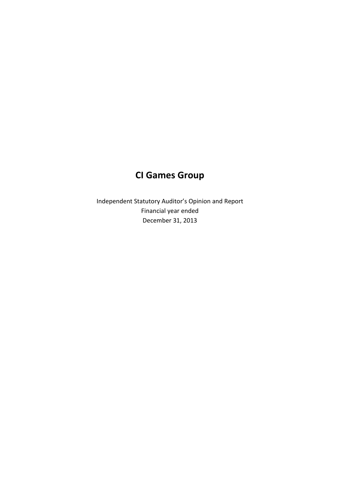# **CI Games Group**

Independent Statutory Auditor's Opinion and Report Financial year ended December 31, 2013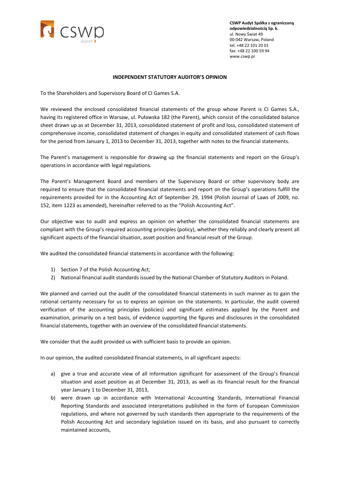

**CSWP Audyt Spółka z ograniczoną odpowiedzialnością Sp. k.** ul. Nowy Świat 49 00-042 Warsaw, Poland tel. +48 22 101 20 01 fax: +48 22 100 59 94 www.cswp.pl

#### **INDEPENDENT STATUTORY AUDITOR'S OPINION**

To the Shareholders and Supervisory Board of CI Games S.A.

We reviewed the enclosed consolidated financial statements of the group whose Parent is CI Games S.A., having its registered office in Warsaw, ul. Puławska 182 (the Parent), which consist of the consolidated balance sheet drawn up as at December 31, 2013, consolidated statement of profit and loss, consolidated statement of comprehensive income, consolidated statement of changes in equity and consolidated statement of cash flows for the period from January 1, 2013 to December 31, 2013, together with notes to the financial statements.

The Parent's management is responsible for drawing up the financial statements and report on the Group's operations in accordance with legal regulations.

The Parent's Management Board and members of the Supervisory Board or other supervisory body are required to ensure that the consolidated financial statements and report on the Group's operations fulfill the requirements provided for in the Accounting Act of September 29, 1994 (Polish Journal of Laws of 2009, no. 152, item 1223 as amended), hereinafter referred to as the "Polish Accounting Act".

Our objective was to audit and express an opinion on whether the consolidated financial statements are compliant with the Group's required accounting principles (policy), whether they reliably and clearly present all significant aspects of the financial situation, asset position and financial result of the Group.

We audited the consolidated financial statements in accordance with the following:

- 1) Section 7 of the Polish Accounting Act;
- 2) National financial audit standards issued by the National Chamber of Statutory Auditors in Poland.

We planned and carried out the audit of the consolidated financial statements in such manner as to gain the rational certainty necessary for us to express an opinion on the statements. In particular, the audit covered verification of the accounting principles (policies) and significant estimates applied by the Parent and examination, primarily on a test basis, of evidence supporting the figures and disclosures in the consolidated financial statements, together with an overview of the consolidated financial statements.

We consider that the audit provided us with sufficient basis to provide an opinion.

In our opinion, the audited consolidated financial statements, in all significant aspects:

- a) give a true and accurate view of all information significant for assessment of the Group's financial situation and asset position as at December 31, 2013, as well as its financial result for the financial year January 1 to December 31, 2013,
- b) were drawn up in accordance with International Accounting Standards, International Financial Reporting Standards and associated interpretations published in the form of European Commission regulations, and where not governed by such standards then appropriate to the requirements of the Polish Accounting Act and secondary legislation issued on its basis, and also pursuant to correctly maintained accounts,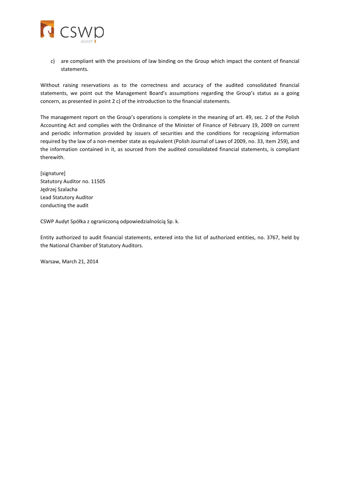

c) are compliant with the provisions of law binding on the Group which impact the content of financial statements.

Without raising reservations as to the correctness and accuracy of the audited consolidated financial statements, we point out the Management Board's assumptions regarding the Group's status as a going concern, as presented in point 2 c) of the introduction to the financial statements.

The management report on the Group's operations is complete in the meaning of art. 49, sec. 2 of the Polish Accounting Act and complies with the Ordinance of the Minister of Finance of February 19, 2009 on current and periodic information provided by issuers of securities and the conditions for recognizing information required by the law of a non-member state as equivalent (Polish Journal of Laws of 2009, no. 33, item 259), and the information contained in it, as sourced from the audited consolidated financial statements, is compliant therewith.

[signature] Statutory Auditor no. 11505 Jędrzej Szalacha Lead Statutory Auditor conducting the audit

CSWP Audyt Spółka z ograniczoną odpowiedzialnością Sp. k.

Entity authorized to audit financial statements, entered into the list of authorized entities, no. 3767, held by the National Chamber of Statutory Auditors.

Warsaw, March 21, 2014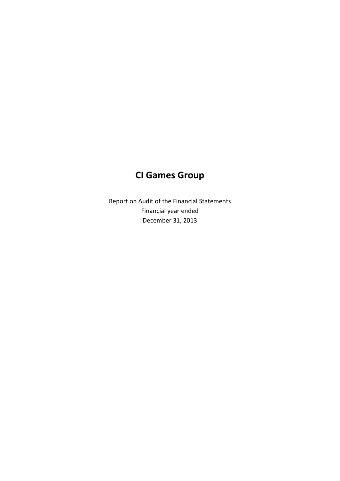# **CI Games Group**

Report on Audit of the Financial Statements Financial year ended December 31, 2013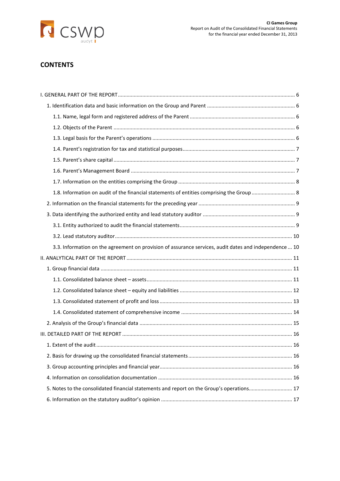

# **CONTENTS**

| 3.3. Information on the agreement on provision of assurance services, audit dates and independence  10 |  |
|--------------------------------------------------------------------------------------------------------|--|
|                                                                                                        |  |
|                                                                                                        |  |
|                                                                                                        |  |
|                                                                                                        |  |
|                                                                                                        |  |
|                                                                                                        |  |
|                                                                                                        |  |
|                                                                                                        |  |
|                                                                                                        |  |
|                                                                                                        |  |
|                                                                                                        |  |
|                                                                                                        |  |
| 5. Notes to the consolidated financial statements and report on the Group's operations 17              |  |
|                                                                                                        |  |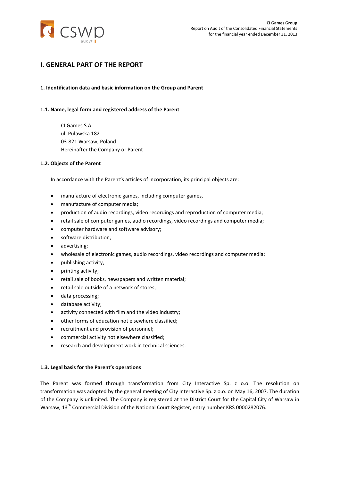

# <span id="page-5-0"></span>**I. GENERAL PART OF THE REPORT**

## <span id="page-5-1"></span>**1. Identification data and basic information on the Group and Parent**

#### <span id="page-5-2"></span>**1.1. Name, legal form and registered address of the Parent**

CI Games S.A. ul. Puławska 182 03-821 Warsaw, Poland Hereinafter the Company or Parent

#### <span id="page-5-3"></span>**1.2. Objects of the Parent**

In accordance with the Parent's articles of incorporation, its principal objects are:

- manufacture of electronic games, including computer games,
- manufacture of computer media;
- production of audio recordings, video recordings and reproduction of computer media;
- retail sale of computer games, audio recordings, video recordings and computer media;
- computer hardware and software advisory;
- software distribution;
- advertising;
- wholesale of electronic games, audio recordings, video recordings and computer media;
- publishing activity;
- printing activity;
- retail sale of books, newspapers and written material;
- retail sale outside of a network of stores;
- data processing;
- database activity:
- activity connected with film and the video industry;
- other forms of education not elsewhere classified;
- recruitment and provision of personnel;
- commercial activity not elsewhere classified;
- research and development work in technical sciences.

#### <span id="page-5-4"></span>**1.3. Legal basis for the Parent's operations**

The Parent was formed through transformation from City Interactive Sp. z o.o. The resolution on transformation was adopted by the general meeting of City Interactive Sp. z o.o. on May 16, 2007. The duration of the Company is unlimited. The Company is registered at the District Court for the Capital City of Warsaw in Warsaw, 13<sup>th</sup> Commercial Division of the National Court Register, entry number KRS 0000282076.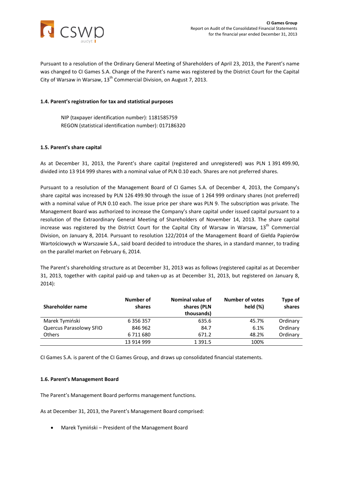

Pursuant to a resolution of the Ordinary General Meeting of Shareholders of April 23, 2013, the Parent's name was changed to CI Games S.A. Change of the Parent's name was registered by the District Court for the Capital City of Warsaw in Warsaw, 13<sup>th</sup> Commercial Division, on August 7, 2013.

## <span id="page-6-0"></span>**1.4. Parent's registration for tax and statistical purposes**

NIP (taxpayer identification number): 1181585759 REGON (statistical identification number): 017186320

#### <span id="page-6-1"></span>**1.5. Parent's share capital**

As at December 31, 2013, the Parent's share capital (registered and unregistered) was PLN 1 391 499.90, divided into 13 914 999 shares with a nominal value of PLN 0.10 each. Shares are not preferred shares.

Pursuant to a resolution of the Management Board of CI Games S.A. of December 4, 2013, the Company's share capital was increased by PLN 126 499.90 through the issue of 1 264 999 ordinary shares (not preferred) with a nominal value of PLN 0.10 each. The issue price per share was PLN 9. The subscription was private. The Management Board was authorized to increase the Company's share capital under issued capital pursuant to a resolution of the Extraordinary General Meeting of Shareholders of November 14, 2013. The share capital increase was registered by the District Court for the Capital City of Warsaw in Warsaw, 13<sup>th</sup> Commercial Division, on January 8, 2014. Pursuant to resolution 122/2014 of the Management Board of Giełda Papierów Wartościowych w Warszawie S.A., said board decided to introduce the shares, in a standard manner, to trading on the parallel market on February 6, 2014.

The Parent's shareholding structure as at December 31, 2013 was as follows (registered capital as at December 31, 2013, together with capital paid-up and taken-up as at December 31, 2013, but registered on January 8, 2014):

| Shareholder name        | Number of<br>shares | Nominal value of<br>shares (PLN<br>thousands) | <b>Number of votes</b><br>held $(\%)$ | Type of<br>shares |
|-------------------------|---------------------|-----------------------------------------------|---------------------------------------|-------------------|
| Marek Tymiński          | 6 356 357           | 635.6                                         | 45.7%                                 | Ordinary          |
| Quercus Parasolowy SFIO | 846 962             | 84.7                                          | 6.1%                                  | Ordinary          |
| <b>Others</b>           | 6711680             | 671.2                                         | 48.2%                                 | Ordinary          |
|                         | 13 914 999          | 1 3 9 1 .5                                    | 100%                                  |                   |

CI Games S.A. is parent of the CI Games Group, and draws up consolidated financial statements.

#### <span id="page-6-2"></span>**1.6. Parent's Management Board**

The Parent's Management Board performs management functions.

As at December 31, 2013, the Parent's Management Board comprised:

• Marek Tymiński – President of the Management Board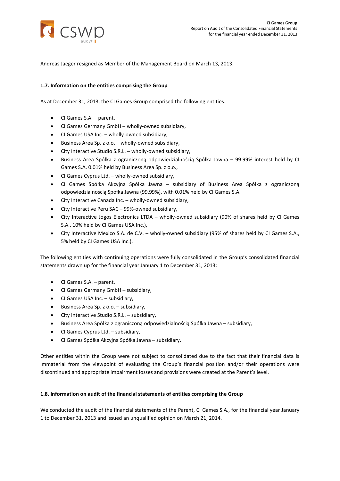

Andreas Jaeger resigned as Member of the Management Board on March 13, 2013.

## <span id="page-7-0"></span>**1.7. Information on the entities comprising the Group**

As at December 31, 2013, the CI Games Group comprised the following entities:

- CI Games S.A. parent,
- CI Games Germany GmbH wholly-owned subsidiary,
- CI Games USA Inc. wholly-owned subsidiary,
- Business Area Sp. z o.o. wholly-owned subsidiary,
- City Interactive Studio S.R.L. wholly-owned subsidiary,
- Business Area Spółka z ograniczoną odpowiedzialnością Spółka Jawna 99.99% interest held by CI Games S.A. 0.01% held by Business Area Sp. z o.o.,
- CI Games Cyprus Ltd. wholly-owned subsidiary,
- CI Games Spółka Akcyjna Spółka Jawna subsidiary of Business Area Spółka z ograniczoną odpowiedzialnością Spółka Jawna (99.99%), with 0.01% held by CI Games S.A.
- City Interactive Canada Inc. wholly-owned subsidiary,
- City Interactive Peru SAC 99%-owned subsidiary,
- City Interactive Jogos Electronics LTDA wholly-owned subsidiary (90% of shares held by CI Games S.A., 10% held by CI Games USA Inc.),
- City Interactive Mexico S.A. de C.V. wholly-owned subsidiary (95% of shares held by CI Games S.A., 5% held by CI Games USA Inc.).

The following entities with continuing operations were fully consolidated in the Group's consolidated financial statements drawn up for the financial year January 1 to December 31, 2013:

- CI Games S.A. parent,
- CI Games Germany GmbH subsidiary,
- CI Games USA Inc. subsidiary,
- Business Area Sp. z o.o. subsidiary,
- City Interactive Studio S.R.L. subsidiary,
- Business Area Spółka z ograniczoną odpowiedzialnością Spółka Jawna subsidiary,
- CI Games Cyprus Ltd. subsidiary,
- CI Games Spółka Akcyjna Spółka Jawna subsidiary.

Other entities within the Group were not subject to consolidated due to the fact that their financial data is immaterial from the viewpoint of evaluating the Group's financial position and/or their operations were discontinued and appropriate impairment losses and provisions were created at the Parent's level.

#### <span id="page-7-1"></span>**1.8. Information on audit of the financial statements of entities comprising the Group**

We conducted the audit of the financial statements of the Parent, CI Games S.A., for the financial year January 1 to December 31, 2013 and issued an unqualified opinion on March 21, 2014.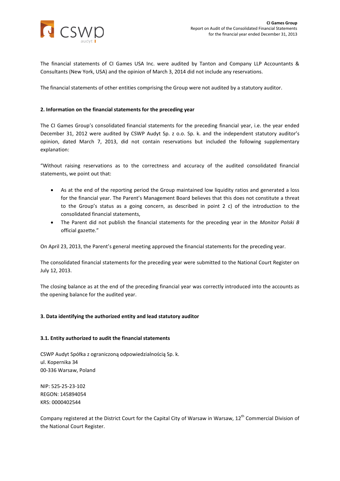

The financial statements of CI Games USA Inc. were audited by Tanton and Company LLP Accountants & Consultants (New York, USA) and the opinion of March 3, 2014 did not include any reservations.

The financial statements of other entities comprising the Group were not audited by a statutory auditor.

#### <span id="page-8-0"></span>**2. Information on the financial statements for the preceding year**

The CI Games Group's consolidated financial statements for the preceding financial year, i.e. the year ended December 31, 2012 were audited by CSWP Audyt Sp. z o.o. Sp. k. and the independent statutory auditor's opinion, dated March 7, 2013, did not contain reservations but included the following supplementary explanation:

"Without raising reservations as to the correctness and accuracy of the audited consolidated financial statements, we point out that:

- As at the end of the reporting period the Group maintained low liquidity ratios and generated a loss for the financial year. The Parent's Management Board believes that this does not constitute a threat to the Group's status as a going concern, as described in point 2 c) of the introduction to the consolidated financial statements,
- The Parent did not publish the financial statements for the preceding year in the *Monitor Polski B* official gazette."

On April 23, 2013, the Parent's general meeting approved the financial statements for the preceding year.

The consolidated financial statements for the preceding year were submitted to the National Court Register on July 12, 2013.

The closing balance as at the end of the preceding financial year was correctly introduced into the accounts as the opening balance for the audited year.

#### <span id="page-8-1"></span>**3. Data identifying the authorized entity and lead statutory auditor**

#### <span id="page-8-2"></span>**3.1. Entity authorized to audit the financial statements**

CSWP Audyt Spółka z ograniczoną odpowiedzialnością Sp. k. ul. Kopernika 34 00-336 Warsaw, Poland

NIP: 525-25-23-102 REGON: 145894054 KRS: 0000402544

Company registered at the District Court for the Capital City of Warsaw in Warsaw, 12<sup>th</sup> Commercial Division of the National Court Register.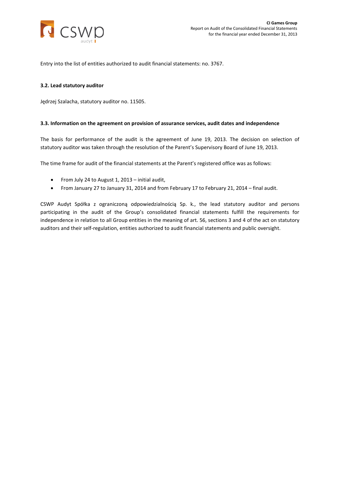

Entry into the list of entities authorized to audit financial statements: no. 3767.

#### <span id="page-9-0"></span>**3.2. Lead statutory auditor**

Jędrzej Szalacha, statutory auditor no. 11505.

#### <span id="page-9-1"></span>**3.3. Information on the agreement on provision of assurance services, audit dates and independence**

The basis for performance of the audit is the agreement of June 19, 2013. The decision on selection of statutory auditor was taken through the resolution of the Parent's Supervisory Board of June 19, 2013.

The time frame for audit of the financial statements at the Parent's registered office was as follows:

- From July 24 to August 1, 2013 initial audit,
- From January 27 to January 31, 2014 and from February 17 to February 21, 2014 final audit.

CSWP Audyt Spółka z ograniczoną odpowiedzialnością Sp. k., the lead statutory auditor and persons participating in the audit of the Group's consolidated financial statements fulfill the requirements for independence in relation to all Group entities in the meaning of art. 56, sections 3 and 4 of the act on statutory auditors and their self-regulation, entities authorized to audit financial statements and public oversight.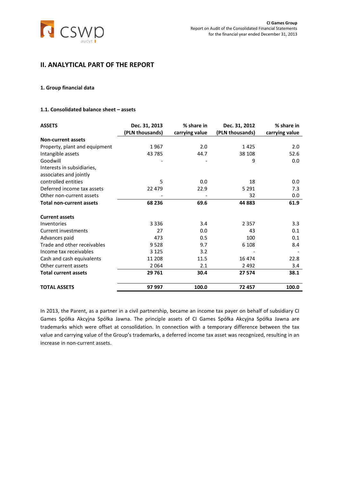

# <span id="page-10-0"></span>**II. ANALYTICAL PART OF THE REPORT**

#### <span id="page-10-1"></span>**1. Group financial data**

# <span id="page-10-2"></span>**1.1. Consolidated balance sheet – assets**

| <b>ASSETS</b>                   | Dec. 31, 2013   | % share in     | Dec. 31, 2012   | % share in     |
|---------------------------------|-----------------|----------------|-----------------|----------------|
|                                 | (PLN thousands) | carrying value | (PLN thousands) | carrying value |
| <b>Non-current assets</b>       |                 |                |                 |                |
| Property, plant and equipment   | 1967            | 2.0            | 1425            | 2.0            |
| Intangible assets               | 43785           | 44.7           | 38 108          | 52.6           |
| Goodwill                        |                 |                | 9               | 0.0            |
| Interests in subsidiaries,      |                 |                |                 |                |
| associates and jointly          |                 |                |                 |                |
| controlled entities             | 5               | 0.0            | 18              | 0.0            |
| Deferred income tax assets      | 22 479          | 22.9           | 5 2 9 1         | 7.3            |
| Other non-current assets        |                 |                | 32              | 0.0            |
| <b>Total non-current assets</b> | 68 236          | 69.6           | 44 883          | 61.9           |
| <b>Current assets</b>           |                 |                |                 |                |
| Inventories                     | 3 3 3 6         | 3.4            | 2 3 5 7         | 3.3            |
| Current investments             | 27              | 0.0            | 43              | 0.1            |
| Advances paid                   | 473             | 0.5            | 100             | 0.1            |
| Trade and other receivables     | 9528            | 9.7            | 6 1 0 8         | 8.4            |
| Income tax receivables          | 3 1 2 5         | 3.2            |                 |                |
| Cash and cash equivalents       | 11 208          | 11.5           | 16 474          | 22.8           |
| Other current assets            | 2064            | 2.1            | 2 4 9 2         | 3.4            |
| <b>Total current assets</b>     | 29 761          | 30.4           | 27 574          | 38.1           |
| <b>TOTAL ASSETS</b>             | 97 997          | 100.0          | 72 457          | 100.0          |

In 2013, the Parent, as a partner in a civil partnership, became an income tax payer on behalf of subsidiary CI Games Spółka Akcyjna Spółka Jawna. The principle assets of CI Games Spółka Akcyjna Spółka Jawna are trademarks which were offset at consolidation. In connection with a temporary difference between the tax value and carrying value of the Group's trademarks, a deferred income tax asset was recognized, resulting in an increase in non-current assets.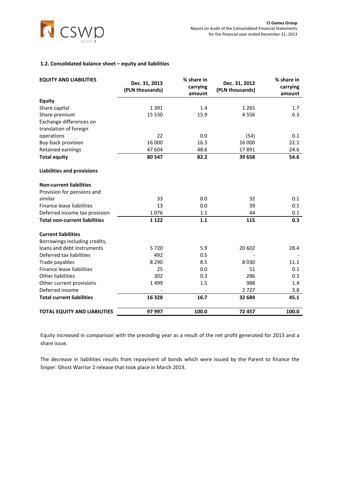

# <span id="page-11-0"></span>**1.2. Consolidated balance sheet – equity and liabilities**

| <b>EQUITY AND LIABILITIES</b>        | Dec. 31, 2013<br>(PLN thousands) | % share in<br>carrying<br>amount | Dec. 31, 2012<br>(PLN thousands) | % share in<br>carrying<br>amount |
|--------------------------------------|----------------------------------|----------------------------------|----------------------------------|----------------------------------|
| <b>Equity</b>                        |                                  |                                  |                                  |                                  |
| Share capital                        | 1391                             | 1.4                              | 1 2 6 5                          | 1.7                              |
| Share premium                        | 15 5 30                          | 15.9                             | 4556                             | 6.3                              |
| Exchange differences on              |                                  |                                  |                                  |                                  |
| translation of foreign               |                                  |                                  |                                  |                                  |
| operations                           | 22                               | 0.0                              | (54)                             | 0.1                              |
| Buy-back provision                   | 16 000                           | 16.3                             | 16 000                           | 22.1                             |
| Retained earnings                    | 47 604                           | 48.6                             | 17891                            | 24.6                             |
| <b>Total equity</b>                  | 80 547                           | 82.2                             | 39 658                           | 54.6                             |
| <b>Liabilities and provisions</b>    |                                  |                                  |                                  |                                  |
| <b>Non-current liabilities</b>       |                                  |                                  |                                  |                                  |
| Provision for pensions and           |                                  |                                  |                                  |                                  |
| similar                              | 33                               | 0.0                              | 32                               | 0.1                              |
| Finance lease liabilities            | 13                               | 0.0                              | 39                               | 0.1                              |
| Deferred income tax provision        | 1076                             | 1.1                              | 44                               | 0.1                              |
| <b>Total non-current liabilities</b> | 1 1 2 2                          | 1.1                              | 115                              | 0.3                              |
| <b>Current liabilities</b>           |                                  |                                  |                                  |                                  |
| Borrowings including credits,        |                                  |                                  |                                  |                                  |
| loans and debt instruments           | 5720                             | 5.9                              | 20 602                           | 28.4                             |
| Deferred tax liabilities             | 492                              | 0.5                              |                                  |                                  |
| Trade payables                       | 8 2 9 0                          | 8.5                              | 8030                             | 11.1                             |
| Finance lease liabilities            | 25                               | 0.0                              | 51                               | 0.1                              |
| <b>Other liabilities</b>             | 302                              | 0.3                              | 286                              | 0.3                              |
| Other current provisions             | 1499                             | 1.5                              | 988                              | 1.4                              |
| Deferred income                      |                                  |                                  | 2727                             | 3.8                              |
| <b>Total current liabilities</b>     | 16 3 28                          | 16.7                             | 32 684                           | 45.1                             |
| <b>TOTAL EQUITY AND LIABILITIES</b>  | 97 997                           | 100.0                            | 72 457                           | 100.0                            |

Equity increased in comparison with the preceding year as a result of the net profit generated for 2013 and a share issue.

The decrease in liabilities results from repayment of bonds which were issued by the Parent to finance the Sniper: Ghost Warrior 2 release that took place in March 2013.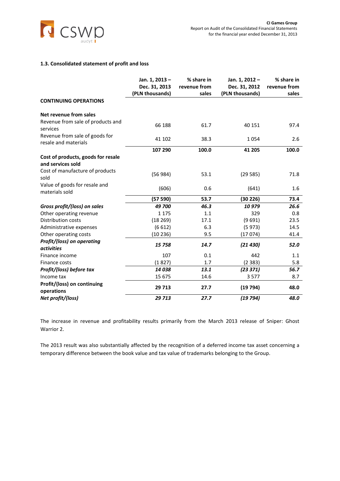

## <span id="page-12-0"></span>**1.3. Consolidated statement of profit and loss**

|                                                         | Jan. 1, 2013 -<br>Dec. 31, 2013<br>(PLN thousands) | % share in<br>revenue from<br>sales | Jan. 1, 2012 -<br>Dec. 31, 2012<br>(PLN thousands) | % share in<br>revenue from<br>sales |
|---------------------------------------------------------|----------------------------------------------------|-------------------------------------|----------------------------------------------------|-------------------------------------|
| <b>CONTINUING OPERATIONS</b>                            |                                                    |                                     |                                                    |                                     |
| Net revenue from sales                                  |                                                    |                                     |                                                    |                                     |
| Revenue from sale of products and<br>services           | 66 188                                             | 61.7                                | 40 151                                             | 97.4                                |
| Revenue from sale of goods for<br>resale and materials  | 41 102                                             | 38.3                                | 1054                                               | 2.6                                 |
|                                                         | 107 290                                            | 100.0                               | 41 205                                             | 100.0                               |
| Cost of products, goods for resale<br>and services sold |                                                    |                                     |                                                    |                                     |
| Cost of manufacture of products<br>sold                 | (56984)                                            | 53.1                                | (29585)                                            | 71.8                                |
| Value of goods for resale and<br>materials sold         | (606)                                              | 0.6                                 | (641)                                              | 1.6                                 |
|                                                         | (57590)                                            | 53.7                                | (30 226)                                           | 73.4                                |
| Gross profit/(loss) on sales                            | 49 700                                             | 46.3                                | 10979                                              | 26.6                                |
| Other operating revenue                                 | 1 1 7 5                                            | 1.1                                 | 329                                                | 0.8                                 |
| <b>Distribution costs</b>                               | (18269)                                            | 17.1                                | (9691)                                             | 23.5                                |
| Administrative expenses                                 | (6612)                                             | 6.3                                 | (5973)                                             | 14.5                                |
| Other operating costs                                   | (10236)                                            | 9.5                                 | (17074)                                            | 41.4                                |
| Profit/(loss) on operating<br><i>activities</i>         | 15758                                              | 14.7                                | (21430)                                            | 52.0                                |
| Finance income                                          | 107                                                | 0.1                                 | 442                                                | 1.1                                 |
| Finance costs                                           | (1827)                                             | 1.7                                 | (2383)                                             | 5.8                                 |
| Profit/(loss) before tax                                | 14038                                              | 13.1                                | (23 371)                                           | 56.7                                |
| Income tax                                              | 15 675                                             | 14.6                                | 3577                                               | 8.7                                 |
| Profit/(loss) on continuing<br>operations               | 29 7 13                                            | 27.7                                | (19794)                                            | 48.0                                |
| Net profit/(loss)                                       | 29 713                                             | 27.7                                | (19794)                                            | 48.0                                |

The increase in revenue and profitability results primarily from the March 2013 release of Sniper: Ghost Warrior 2.

The 2013 result was also substantially affected by the recognition of a deferred income tax asset concerning a temporary difference between the book value and tax value of trademarks belonging to the Group.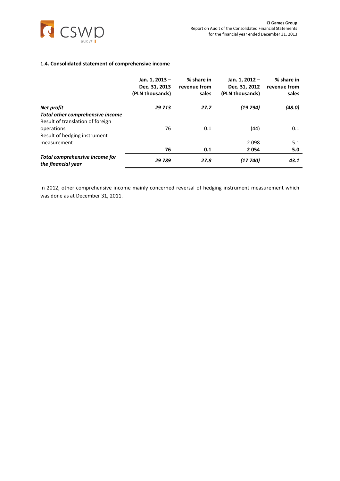

## <span id="page-13-0"></span>**1.4. Consolidated statement of comprehensive income**

|                                                      | Jan. 1, 2013-<br>Dec. 31, 2013<br>(PLN thousands) | % share in<br>revenue from<br>sales | Jan. 1, 2012 -<br>Dec. 31, 2012<br>(PLN thousands) | % share in<br>revenue from<br>sales |
|------------------------------------------------------|---------------------------------------------------|-------------------------------------|----------------------------------------------------|-------------------------------------|
| Net profit                                           | 29 713                                            | 27.7                                | (19 794)                                           | (48.0)                              |
| Total other comprehensive income                     |                                                   |                                     |                                                    |                                     |
| Result of translation of foreign                     |                                                   |                                     |                                                    |                                     |
| operations                                           | 76                                                | 0.1                                 | (44)                                               | 0.1                                 |
| Result of hedging instrument                         |                                                   |                                     |                                                    |                                     |
| measurement                                          |                                                   | $\overline{\phantom{a}}$            | 2098                                               | 5.1                                 |
|                                                      | 76                                                | 0.1                                 | 2054                                               | 5.0                                 |
| Total comprehensive income for<br>the financial year | 29 789                                            | 27.8                                | (17740)                                            | 43.1                                |

In 2012, other comprehensive income mainly concerned reversal of hedging instrument measurement which was done as at December 31, 2011.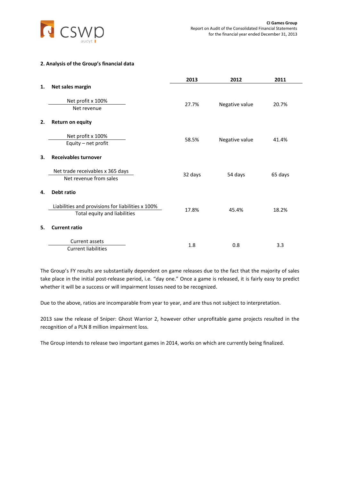

## <span id="page-14-0"></span>**2. Analysis of the Group's financial data**

|    |                                                                                   | 2013    | 2012           | 2011    |
|----|-----------------------------------------------------------------------------------|---------|----------------|---------|
| 1. | Net sales margin                                                                  |         |                |         |
|    | Net profit x 100%<br>Net revenue                                                  | 27.7%   | Negative value | 20.7%   |
| 2. | <b>Return on equity</b>                                                           |         |                |         |
|    | Net profit x 100%<br>Equity - net profit                                          | 58.5%   | Negative value | 41.4%   |
| 3. | <b>Receivables turnover</b>                                                       |         |                |         |
|    | Net trade receivables x 365 days<br>Net revenue from sales                        | 32 days | 54 days        | 65 days |
| 4. | Debt ratio                                                                        |         |                |         |
|    | Liabilities and provisions for liabilities x 100%<br>Total equity and liabilities | 17.8%   | 45.4%          | 18.2%   |
| 5. | <b>Current ratio</b>                                                              |         |                |         |
|    | Current assets<br><b>Current liabilities</b>                                      | 1.8     | 0.8            | 3.3     |

The Group's FY results are substantially dependent on game releases due to the fact that the majority of sales take place in the initial post-release period, i.e. "day one." Once a game is released, it is fairly easy to predict whether it will be a success or will impairment losses need to be recognized.

Due to the above, ratios are incomparable from year to year, and are thus not subject to interpretation.

2013 saw the release of Sniper: Ghost Warrior 2, however other unprofitable game projects resulted in the recognition of a PLN 8 million impairment loss.

The Group intends to release two important games in 2014, works on which are currently being finalized.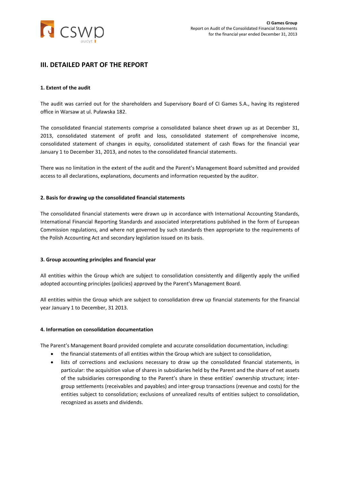

# <span id="page-15-0"></span>**III. DETAILED PART OF THE REPORT**

#### <span id="page-15-1"></span>**1. Extent of the audit**

The audit was carried out for the shareholders and Supervisory Board of CI Games S.A., having its registered office in Warsaw at ul. Puławska 182.

The consolidated financial statements comprise a consolidated balance sheet drawn up as at December 31, 2013, consolidated statement of profit and loss, consolidated statement of comprehensive income, consolidated statement of changes in equity, consolidated statement of cash flows for the financial year January 1 to December 31, 2013, and notes to the consolidated financial statements.

There was no limitation in the extent of the audit and the Parent's Management Board submitted and provided access to all declarations, explanations, documents and information requested by the auditor.

#### <span id="page-15-2"></span>**2. Basis for drawing up the consolidated financial statements**

The consolidated financial statements were drawn up in accordance with International Accounting Standards, International Financial Reporting Standards and associated interpretations published in the form of European Commission regulations, and where not governed by such standards then appropriate to the requirements of the Polish Accounting Act and secondary legislation issued on its basis.

#### <span id="page-15-3"></span>**3. Group accounting principles and financial year**

All entities within the Group which are subject to consolidation consistently and diligently apply the unified adopted accounting principles (policies) approved by the Parent's Management Board.

All entities within the Group which are subject to consolidation drew up financial statements for the financial year January 1 to December, 31 2013.

#### <span id="page-15-4"></span>**4. Information on consolidation documentation**

The Parent's Management Board provided complete and accurate consolidation documentation, including:

- the financial statements of all entities within the Group which are subject to consolidation,
- lists of corrections and exclusions necessary to draw up the consolidated financial statements, in particular: the acquisition value of shares in subsidiaries held by the Parent and the share of net assets of the subsidiaries corresponding to the Parent's share in these entities' ownership structure; intergroup settlements (receivables and payables) and inter-group transactions (revenue and costs) for the entities subject to consolidation; exclusions of unrealized results of entities subject to consolidation, recognized as assets and dividends.